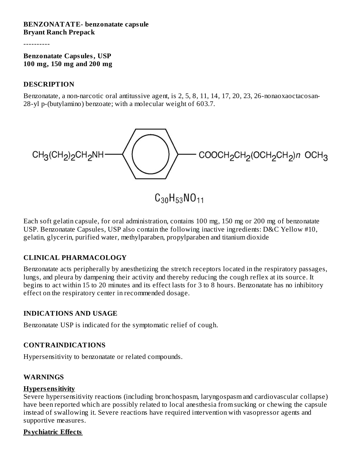#### **BENZONATATE- benzonatate capsule Bryant Ranch Prepack**

----------

**Benzonatate Capsules, USP 100 mg, 150 mg and 200 mg**

#### **DESCRIPTION**

Benzonatate, a non-narcotic oral antitussive agent, is 2, 5, 8, 11, 14, 17, 20, 23, 26-nonaoxaoctacosan-28-yl p-(butylamino) benzoate; with a molecular weight of 603.7.



 $C_{30}H_{53}NO_{11}$ 

Each soft gelatin capsule, for oral administration, contains 100 mg, 150 mg or 200 mg of benzonatate USP. Benzonatate Capsules, USP also contain the following inactive ingredients: D&C Yellow #10, gelatin, glycerin, purified water, methylparaben, propylparaben and titanium dioxide

#### **CLINICAL PHARMACOLOGY**

Benzonatate acts peripherally by anesthetizing the stretch receptors located in the respiratory passages, lungs, and pleura by dampening their activity and thereby reducing the cough reflex at its source. It begins to act within 15 to 20 minutes and its effect lasts for 3 to 8 hours. Benzonatate has no inhibitory effect on the respiratory center in recommended dosage.

#### **INDICATIONS AND USAGE**

Benzonatate USP is indicated for the symptomatic relief of cough.

#### **CONTRAINDICATIONS**

Hypersensitivity to benzonatate or related compounds.

#### **WARNINGS**

#### **Hypers ensitivity**

Severe hypersensitivity reactions (including bronchospasm, laryngospasm and cardiovascular collapse) have been reported which are possibly related to local anesthesia from sucking or chewing the capsule instead of swallowing it. Severe reactions have required intervention with vasopressor agents and supportive measures.

#### **Psychiatric Effects**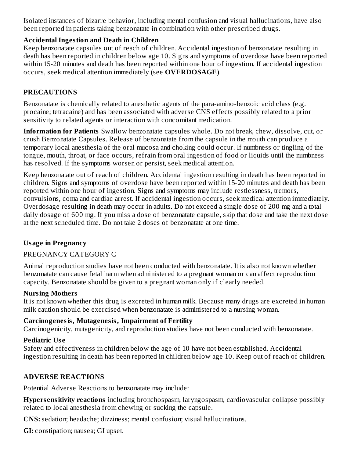Isolated instances of bizarre behavior, including mental confusion and visual hallucinations, have also been reported in patients taking benzonatate in combination with other prescribed drugs.

#### **Accidental Ingestion and Death in Children**

Keep benzonatate capsules out of reach of children. Accidental ingestion of benzonatate resulting in death has been reported in children below age 10. Signs and symptoms of overdose have been reported within 15-20 minutes and death has been reported within one hour of ingestion. If accidental ingestion occurs, seek medical attention immediately (see **OVERDOSAGE**).

## **PRECAUTIONS**

Benzonatate is chemically related to anesthetic agents of the para-amino-benzoic acid class (e.g. procaine; tetracaine) and has been associated with adverse CNS effects possibly related to a prior sensitivity to related agents or interaction with concomitant medication.

**Information for Patients** Swallow benzonatate capsules whole. Do not break, chew, dissolve, cut, or crush Benzonatate Capsules. Release of benzonatate from the capsule in the mouth can produce a temporary local anesthesia of the oral mucosa and choking could occur. If numbness or tingling of the tongue, mouth, throat, or face occurs, refrain from oral ingestion of food or liquids until the numbness has resolved. If the symptoms worsen or persist, seek medical attention.

Keep benzonatate out of reach of children. Accidental ingestion resulting in death has been reported in children. Signs and symptoms of overdose have been reported within 15-20 minutes and death has been reported within one hour of ingestion. Signs and symptoms may include restlessness, tremors, convulsions, coma and cardiac arrest. If accidental ingestion occurs, seek medical attention immediately. Overdosage resulting in death may occur in adults. Do not exceed a single dose of 200 mg and a total daily dosage of 600 mg. If you miss a dose of benzonatate capsule, skip that dose and take the next dose at the next scheduled time. Do not take 2 doses of benzonatate at one time.

#### **Usage in Pregnancy**

#### PREGNANCY CATEGORY C

Animal reproduction studies have not been conducted with benzonatate. It is also not known whether benzonatate can cause fetal harm when administered to a pregnant woman or can affect reproduction capacity. Benzonatate should be given to a pregnant woman only if clearly needed.

#### **Nursing Mothers**

It is not known whether this drug is excreted in human milk. Because many drugs are excreted in human milk caution should be exercised when benzonatate is administered to a nursing woman.

#### **Carcinogenesis, Mutagenesis, Impairment of Fertility**

Carcinogenicity, mutagenicity, and reproduction studies have not been conducted with benzonatate.

#### **Pediatric Us e**

Safety and effectiveness in children below the age of 10 have not been established. Accidental ingestion resulting in death has been reported in children below age 10. Keep out of reach of children.

# **ADVERSE REACTIONS**

Potential Adverse Reactions to benzonatate may include:

**Hypers ensitivity reactions** including bronchospasm, laryngospasm, cardiovascular collapse possibly related to local anesthesia from chewing or sucking the capsule.

**CNS:**sedation; headache; dizziness; mental confusion; visual hallucinations.

**GI:** constipation; nausea; GI upset.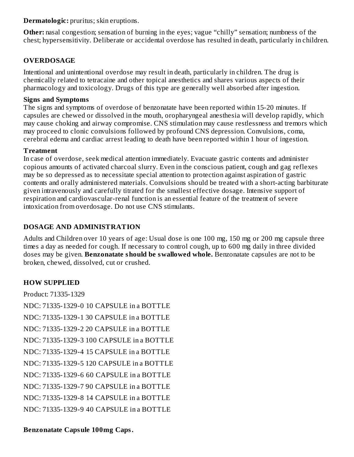**Dermatologic:** pruritus; skin eruptions.

**Other:** nasal congestion; sensation of burning in the eyes; vague "chilly" sensation; numbness of the chest; hypersensitivity. Deliberate or accidental overdose has resulted in death, particularly in children.

# **OVERDOSAGE**

Intentional and unintentional overdose may result in death, particularly in children. The drug is chemically related to tetracaine and other topical anesthetics and shares various aspects of their pharmacology and toxicology. Drugs of this type are generally well absorbed after ingestion.

## **Signs and Symptoms**

The signs and symptoms of overdose of benzonatate have been reported within 15-20 minutes. If capsules are chewed or dissolved in the mouth, oropharyngeal anesthesia will develop rapidly, which may cause choking and airway compromise. CNS stimulation may cause restlessness and tremors which may proceed to clonic convulsions followed by profound CNS depression. Convulsions, coma, cerebral edema and cardiac arrest leading to death have been reported within 1 hour of ingestion.

## **Treatment**

In case of overdose, seek medical attention immediately. Evacuate gastric contents and administer copious amounts of activated charcoal slurry. Even in the conscious patient, cough and gag reflexes may be so depressed as to necessitate special attention to protection against aspiration of gastric contents and orally administered materials. Convulsions should be treated with a short-acting barbiturate given intravenously and carefully titrated for the smallest effective dosage. Intensive support of respiration and cardiovascular-renal function is an essential feature of the treatment of severe intoxication from overdosage. Do not use CNS stimulants.

# **DOSAGE AND ADMINISTRATION**

Adults and Children over 10 years of age: Usual dose is one 100 mg, 150 mg or 200 mg capsule three times a day as needed for cough. If necessary to control cough, up to 600 mg daily in three divided doses may be given. **Benzonatate should be swallowed whole.** Benzonatate capsules are not to be broken, chewed, dissolved, cut or crushed.

# **HOW SUPPLIED**

Product: 71335-1329 NDC: 71335-1329-0 10 CAPSULE in a BOTTLE NDC: 71335-1329-1 30 CAPSULE in a BOTTLE NDC: 71335-1329-2 20 CAPSULE in a BOTTLE NDC: 71335-1329-3 100 CAPSULE in a BOTTLE NDC: 71335-1329-4 15 CAPSULE in a BOTTLE NDC: 71335-1329-5 120 CAPSULE in a BOTTLE NDC: 71335-1329-6 60 CAPSULE in a BOTTLE NDC: 71335-1329-7 90 CAPSULE in a BOTTLE NDC: 71335-1329-8 14 CAPSULE in a BOTTLE NDC: 71335-1329-9 40 CAPSULE in a BOTTLE

# **Benzonatate Capsule 100mg Caps.**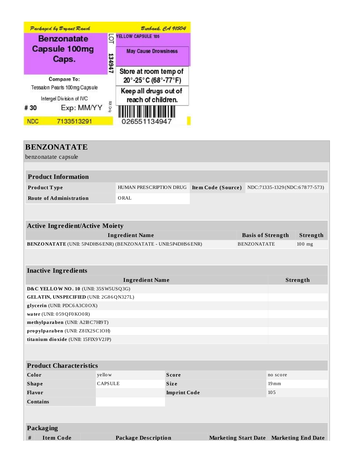

| <b>BENZONATATE</b>                                                    |                                         |                                               |                     |  |  |                               |                          |                                         |
|-----------------------------------------------------------------------|-----------------------------------------|-----------------------------------------------|---------------------|--|--|-------------------------------|--------------------------|-----------------------------------------|
| benzonatate capsule                                                   |                                         |                                               |                     |  |  |                               |                          |                                         |
|                                                                       |                                         |                                               |                     |  |  |                               |                          |                                         |
| <b>Product Information</b>                                            |                                         |                                               |                     |  |  |                               |                          |                                         |
| Product Type                                                          |                                         | HUMAN PRESCRIPTION DRUG<br>Item Code (Source) |                     |  |  | NDC:71335-1329(NDC:67877-573) |                          |                                         |
| <b>Route of Administration</b>                                        |                                         | ORAL                                          |                     |  |  |                               |                          |                                         |
|                                                                       |                                         |                                               |                     |  |  |                               |                          |                                         |
|                                                                       |                                         |                                               |                     |  |  |                               |                          |                                         |
| <b>Active Ingredient/Active Moiety</b>                                |                                         |                                               |                     |  |  |                               |                          |                                         |
| <b>Ingredient Name</b>                                                |                                         |                                               |                     |  |  |                               | <b>Basis of Strength</b> | Strength                                |
| <b>BENZONATATE</b> (UNII: 5P4DHS6ENR) (BENZONATATE - UNII:5P4DHS6ENR) |                                         |                                               |                     |  |  | <b>BENZONATATE</b>            |                          | $100$ mg                                |
|                                                                       |                                         |                                               |                     |  |  |                               |                          |                                         |
|                                                                       |                                         |                                               |                     |  |  |                               |                          |                                         |
| <b>Inactive Ingredients</b>                                           |                                         |                                               |                     |  |  |                               |                          |                                         |
| <b>Ingredient Name</b>                                                |                                         |                                               |                     |  |  |                               | Strength                 |                                         |
|                                                                       | D&C YELLOW NO. 10 (UNII: 35SW5USQ3G)    |                                               |                     |  |  |                               |                          |                                         |
|                                                                       | GELATIN, UNSPECIFIED (UNII: 2G86QN327L) |                                               |                     |  |  |                               |                          |                                         |
| water (UNII: 059QF0KO0R)                                              | glycerin (UNII: PDC6A3C0OX)             |                                               |                     |  |  |                               |                          |                                         |
|                                                                       | methylparaben (UNII: A2I8C7HI9T)        |                                               |                     |  |  |                               |                          |                                         |
| propylparaben (UNII: Z8IX2SC1OH)                                      |                                         |                                               |                     |  |  |                               |                          |                                         |
| titanium dioxide (UNII: 15FIX9V2JP)                                   |                                         |                                               |                     |  |  |                               |                          |                                         |
|                                                                       |                                         |                                               |                     |  |  |                               |                          |                                         |
|                                                                       |                                         |                                               |                     |  |  |                               |                          |                                         |
| <b>Product Characteristics</b>                                        |                                         |                                               |                     |  |  |                               |                          |                                         |
| Color                                                                 | yello w                                 |                                               | <b>Score</b>        |  |  |                               | no score                 |                                         |
| <b>Shape</b>                                                          | <b>CAPSULE</b>                          |                                               | Size                |  |  |                               | $19 \,\mathrm{mm}$       |                                         |
| Flavor                                                                |                                         |                                               | <b>Imprint Code</b> |  |  |                               | 105                      |                                         |
| <b>Contains</b>                                                       |                                         |                                               |                     |  |  |                               |                          |                                         |
|                                                                       |                                         |                                               |                     |  |  |                               |                          |                                         |
|                                                                       |                                         |                                               |                     |  |  |                               |                          |                                         |
| Packaging                                                             |                                         |                                               |                     |  |  |                               |                          |                                         |
| #<br>Item Code<br>Package Description                                 |                                         |                                               |                     |  |  |                               |                          | Marketing Start Date Marketing End Date |